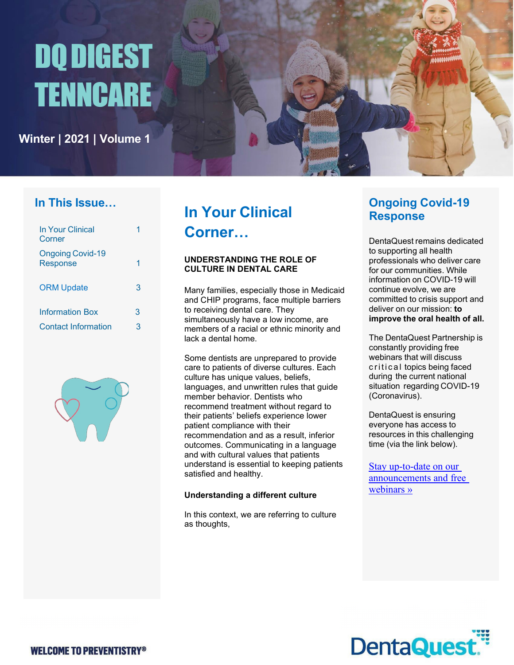# DQDIGEST TENNCARE

**Winter | 2021 | Volume 1**

### **In This Issue…**

| In Your Clinical<br>Corner                 |   |
|--------------------------------------------|---|
| <b>Ongoing Covid-19</b><br><b>Response</b> |   |
| <b>ORM Update</b>                          | 3 |
| <b>Information Box</b>                     | 3 |
| <b>Contact Information</b>                 | 3 |



# **In Your Clinical Corner…**

### **UNDERSTANDING THE ROLE OF CULTURE IN DENTAL CARE**

Many families, especially those in Medicaid and CHIP programs, face multiple barriers to receiving dental care. They simultaneously have a low income, are members of a racial or ethnic minority and lack a dental home.

Some dentists are unprepared to provide care to patients of diverse cultures. Each culture has unique values, beliefs, languages, and unwritten rules that guide member behavior. Dentists who recommend treatment without regard to their patients' beliefs experience lower patient compliance with their recommendation and as a result, inferior outcomes. Communicating in a language and with cultural values that patients understand is essential to keeping patients satisfied and healthy.

### **Understanding a different culture**

In this context, we are referring to culture as thoughts,

### **Ongoing Covid-19 Response**

DentaQuest remains dedicated to supporting all health professionals who deliver care for our communities. While information on COVID-19 will continue evolve, we are committed to crisis support and deliver on our mission: **to improve the oral health of all.**

The DentaQuest Partnership is constantly providing free webinars that will discuss critical topics being faced during the current national situation regarding COVID-19 (Coronavirus).

DentaQuest is ensuring everyone has access to resources in this challenging time (via the link below).

[Stay up-to-date](https://nam10.safelinks.protection.outlook.com/?url=https%3A%2F%2Fdentaquest.com%2Foral-health-resources%2Femail-sign-up%2F&data=04%7C01%7CStephanie.Tate%40dentaquest.com%7C62f9eb0a83bd4026cbea08d89c7f0b78%7Cb5014925e83f4fb6a482eb9184fe1c81%7C0%7C0%7C637431416753175339%7CUnknown%7CTWFpbGZsb3d8eyJWIjoiMC4wLjAwMDAiLCJQIjoiV2luMzIiLCJBTiI6Ik1haWwiLCJXVCI6Mn0%3D%7C1000&sdata=zvfzE%2FtpoFDzXJdQ6eNxL76YF0Hi2djYqgkz%2FhC1Z9U%3D&reserved=0) on our [announcements](https://nam10.safelinks.protection.outlook.com/?url=https%3A%2F%2Fdentaquest.com%2Foral-health-resources%2Femail-sign-up%2F&data=04%7C01%7CStephanie.Tate%40dentaquest.com%7C62f9eb0a83bd4026cbea08d89c7f0b78%7Cb5014925e83f4fb6a482eb9184fe1c81%7C0%7C0%7C637431416753175339%7CUnknown%7CTWFpbGZsb3d8eyJWIjoiMC4wLjAwMDAiLCJQIjoiV2luMzIiLCJBTiI6Ik1haWwiLCJXVCI6Mn0%3D%7C1000&sdata=zvfzE%2FtpoFDzXJdQ6eNxL76YF0Hi2djYqgkz%2FhC1Z9U%3D&reserved=0) and free [webinars](https://nam10.safelinks.protection.outlook.com/?url=https%3A%2F%2Fdentaquest.com%2Foral-health-resources%2Femail-sign-up%2F&data=04%7C01%7CStephanie.Tate%40dentaquest.com%7C62f9eb0a83bd4026cbea08d89c7f0b78%7Cb5014925e83f4fb6a482eb9184fe1c81%7C0%7C0%7C637431416753175339%7CUnknown%7CTWFpbGZsb3d8eyJWIjoiMC4wLjAwMDAiLCJQIjoiV2luMzIiLCJBTiI6Ik1haWwiLCJXVCI6Mn0%3D%7C1000&sdata=zvfzE%2FtpoFDzXJdQ6eNxL76YF0Hi2djYqgkz%2FhC1Z9U%3D&reserved=0) »

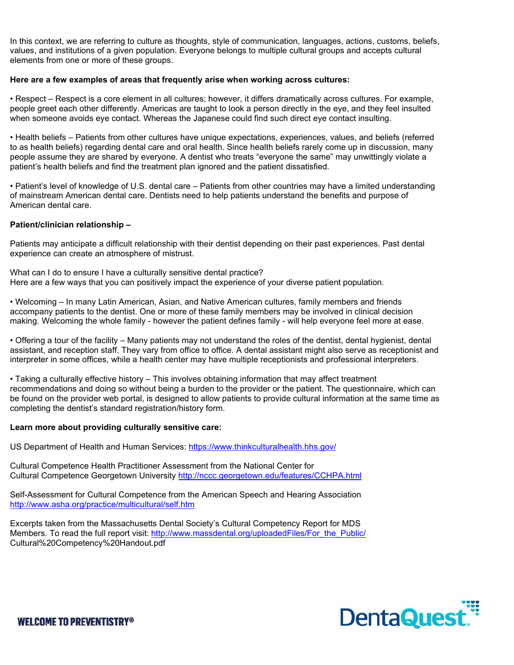In this context, we are referring to culture as thoughts, style of communication, languages, actions, customs, beliefs, values, and institutions of a given population. Everyone belongs to multiple cultural groups and accepts cultural elements from one or more of these groups.

### **Here are a few examples of areas that frequently arise when working across cultures:**

• Respect – Respect is a core element in all cultures; however, it differs dramatically across cultures. For example, people greet each other differently. Americas are taught to look a person directly in the eye, and they feel insulted when someone avoids eye contact. Whereas the Japanese could find such direct eye contact insulting.

• Health beliefs – Patients from other cultures have unique expectations, experiences, values, and beliefs (referred to as health beliefs) regarding dental care and oral health. Since health beliefs rarely come up in discussion, many people assume they are shared by everyone. A dentist who treats "everyone the same" may unwittingly violate a patient's health beliefs and find the treatment plan ignored and the patient dissatisfied.

• Patient's level of knowledge of U.S. dental care – Patients from other countries may have a limited understanding of mainstream American dental care. Dentists need to help patients understand the benefits and purpose of American dental care.

### **Patient/clinician relationship –**

Patients may anticipate a difficult relationship with their dentist depending on their past experiences. Past dental experience can create an atmosphere of mistrust.

What can I do to ensure I have a culturally sensitive dental practice? Here are a few ways that you can positively impact the experience of your diverse patient population.

• Welcoming – In many Latin American, Asian, and Native American cultures, family members and friends accompany patients to the dentist. One or more of these family members may be involved in clinical decision making. Welcoming the whole family - however the patient defines family - will help everyone feel more at ease.

• Offering a tour of the facility – Many patients may not understand the roles of the dentist, dental hygienist, dental assistant, and reception staff. They vary from office to office. A dental assistant might also serve as receptionist and interpreter in some offices, while a health center may have multiple receptionists and professional interpreters.

• Taking a culturally effective history – This involves obtaining information that may affect treatment recommendations and doing so without being a burden to the provider or the patient. The questionnaire, which can be found on the provider web portal, is designed to allow patients to provide cultural information at the same time as completing the dentist's standard registration/history form.

### **Learn more about providing culturally sensitive care:**

US Department of Health and Human Services: [https://www.thinkculturalhealth.hhs.gov/](https://nam10.safelinks.protection.outlook.com/?url=https%3A%2F%2Fwww.thinkculturalhealth.hhs.gov%2F&data=04%7C01%7CShamele.Walton%40greatdentalplans.com%7C81dfb323aff342a1c40608d8eb0ece09%7Cb5014925e83f4fb6a482eb9184fe1c81%7C0%7C0%7C637517796118135573%7CUnknown%7CTWFpbGZsb3d8eyJWIjoiMC4wLjAwMDAiLCJQIjoiV2luMzIiLCJBTiI6Ik1haWwiLCJXVCI6Mn0%3D%7C1000&sdata=GxgotxzrFUfWlpZeHbm8kHjB9ud8w266HPKwDTjPGLY%3D&reserved=0)

Cultural Competence Health Practitioner Assessment from the National Center for Cultural Competence Georgetown University [http://nccc.georgetown.edu/features/CCHPA.html](https://nam10.safelinks.protection.outlook.com/?url=http%3A%2F%2Fnccc.georgetown.edu%2Ffeatures%2FCCHPA.html&data=04%7C01%7CShamele.Walton%40greatdentalplans.com%7C81dfb323aff342a1c40608d8eb0ece09%7Cb5014925e83f4fb6a482eb9184fe1c81%7C0%7C0%7C637517796118145566%7CUnknown%7CTWFpbGZsb3d8eyJWIjoiMC4wLjAwMDAiLCJQIjoiV2luMzIiLCJBTiI6Ik1haWwiLCJXVCI6Mn0%3D%7C1000&sdata=6J3qXgPyFRlw9%2F6qITkQ0mD90GJByY8d%2BAE5jRw9UFU%3D&reserved=0)

Self-Assessment for Cultural Competence from the American Speech and Hearing Association [http://www.asha.org/practice/multicultural/self.htm](https://nam10.safelinks.protection.outlook.com/?url=http%3A%2F%2Fwww.asha.org%2Fpractice%2Fmulticultural%2Fself.htm&data=04%7C01%7CShamele.Walton%40greatdentalplans.com%7C81dfb323aff342a1c40608d8eb0ece09%7Cb5014925e83f4fb6a482eb9184fe1c81%7C0%7C0%7C637517796118145566%7CUnknown%7CTWFpbGZsb3d8eyJWIjoiMC4wLjAwMDAiLCJQIjoiV2luMzIiLCJBTiI6Ik1haWwiLCJXVCI6Mn0%3D%7C1000&sdata=PFPt4BPCtMpMN80zAgXvfF2kWeYONbc9yoSTnJhHoVk%3D&reserved=0)

Excerpts taken from the Massachusetts Dental Society's Cultural Competency Report for MDS Members. To read the full report visit: http://www.massdental.org/uploadedFiles/For the Public/ Cultural%20Competency%20Handout.pdf